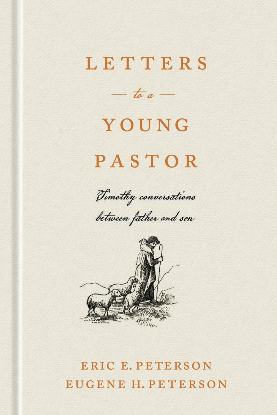# LETTERS



YOUNG PASTOR

Timothy conversations

between father and son



# ERIC E. PETERSON EUGENE H. PETERSON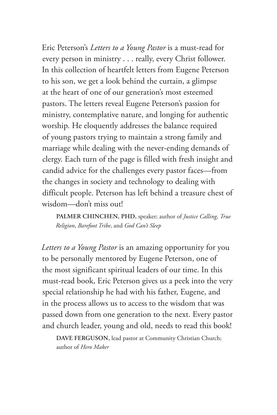Eric Peterson's *Letters to a Young Pastor* is a must-read for every person in ministry . . . really, every Christ follower. In this collection of heartfelt letters from Eugene Peterson to his son, we get a look behind the curtain, a glimpse at the heart of one of our generation's most esteemed pastors. The letters reveal Eugene Peterson's passion for ministry, contemplative nature, and longing for authentic worship. He eloquently addresses the balance required of young pastors trying to maintain a strong family and marriage while dealing with the never-ending demands of clergy. Each turn of the page is filled with fresh insight and candid advice for the challenges every pastor faces—from the changes in society and technology to dealing with difficult people. Peterson has left behind a treasure chest of wisdom—don't miss out!

**PALMER CHINCHEN, PHD,** speaker; author of *Justice Calling*, *True Religion*, *Barefoot Tribe*, and *God Can't Sleep*

*Letters to a Young Pastor* is an amazing opportunity for you to be personally mentored by Eugene Peterson, one of the most significant spiritual leaders of our time. In this must-read book, Eric Peterson gives us a peek into the very special relationship he had with his father, Eugene, and in the process allows us to access to the wisdom that was passed down from one generation to the next. Every pastor and church leader, young and old, needs to read this book!

**DAVE FERGUSON,** lead pastor at Community Christian Church; author of *Hero Maker*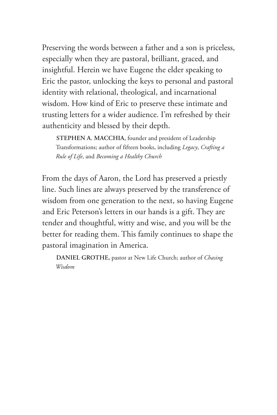Preserving the words between a father and a son is priceless, especially when they are pastoral, brilliant, graced, and insightful. Herein we have Eugene the elder speaking to Eric the pastor, unlocking the keys to personal and pastoral identity with relational, theological, and incarnational wisdom. How kind of Eric to preserve these intimate and trusting letters for a wider audience. I'm refreshed by their authenticity and blessed by their depth.

**STEPHEN A. MACCHIA,** founder and president of Leadership Transformations; author of fifteen books, including *Legacy*, *Crafting a Rule of Life*, and *Becoming a Healthy Church*

From the days of Aaron, the Lord has preserved a priestly line. Such lines are always preserved by the transference of wisdom from one generation to the next, so having Eugene and Eric Peterson's letters in our hands is a gift. They are tender and thoughtful, witty and wise, and you will be the better for reading them. This family continues to shape the pastoral imagination in America.

**DANIEL GROTHE,** pastor at New Life Church; author of *Chasing Wisdom*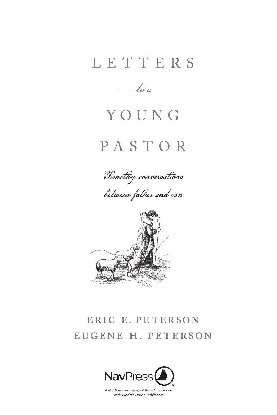## LETTERS



# YOUNG

# PASTOR

Timothy conversations





## ERIC E. PETERSON EUGENE H. PETERSON



A NavPress resource published in alliance with Tyndale House Publishers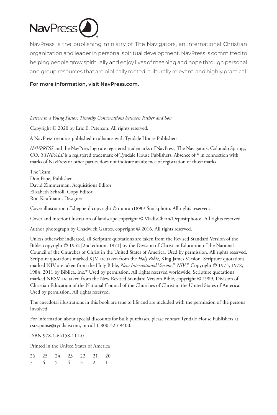

NavPress is the publishing ministry of The Navigators, an international Christian organization and leader in personal spiritual development. NavPress is committed to helping people grow spiritually and enjoy lives of meaning and hope through personal and group resources that are biblically rooted, culturally relevant, and highly practical.

#### **For more information, visit NavPress.com.**

#### *Letters to a Young Pastor: Timothy Conversations between Father and Son*

Copyright © 2020 by Eric E. Peterson. All rights reserved.

A NavPress resource published in alliance with Tyndale House Publishers

*NAVPRESS* and the NavPress logo are registered trademarks of NavPress, The Navigators, Colorado Springs, CO. *TYNDALE* is a registered trademark of Tyndale House Publishers. Absence of ® in connection with marks of NavPress or other parties does not indicate an absence of registration of those marks.

The Team: Don Pape, Publisher David Zimmerman, Acquisitions Editor Elizabeth Schroll, Copy Editor Ron Kaufmann, Designer

Cover illustration of shepherd copyright © duncan1890/iStockphoto. All rights reserved.

Cover and interior illustration of landscape copyright © VladisChern/Depositphotos. All rights reserved.

Author photograph by Chadwick Gantes, copyright © 2016. All rights reserved.

Unless otherwise indicated, all Scripture quotations are taken from the Revised Standard Version of the Bible, copyright © 1952 [2nd edition, 1971] by the Division of Christian Education of the National Council of the Churches of Christ in the United States of America. Used by permission. All rights reserved. Scripture quotations marked KJV are taken from the *Holy Bible*, King James Version. Scripture quotations marked NIV are taken from the Holy Bible, *New International Version*, ® *NIV*. ® Copyright © 1973, 1978, 1984, 2011 by Biblica, Inc.® Used by permission. All rights reserved worldwide. Scripture quotations marked NRSV are taken from the New Revised Standard Version Bible, copyright © 1989, Division of Christian Education of the National Council of the Churches of Christ in the United States of America. Used by permission. All rights reserved.

The anecdotal illustrations in this book are true to life and are included with the permission of the persons involved.

For information about special discounts for bulk purchases, please contact Tyndale House Publishers at csresponse@tyndale.com, or call 1-800-323-9400.

ISBN 978-1-64158-111-0

Printed in the United States of America

|  | 26 25 24 23 22 21 20 |  |  |
|--|----------------------|--|--|
|  | 7 6 5 4 3 2 1        |  |  |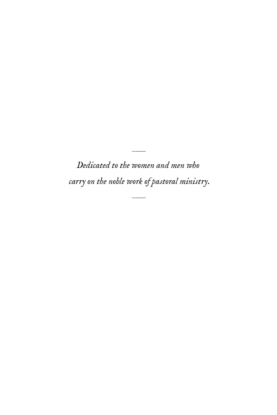*Dedicated to the women and men who carry on the noble work of pastoral ministry.* –

–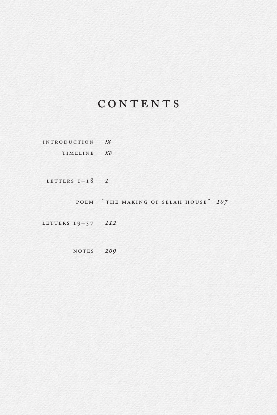## CONTENTS

[Introduction](#page-9-0) *ix*

[Timeline](#page-15-0) *xv*

LETTERS  $I-I 8$  *I* 

Poem "The Making of Selah House" *107*

LETTERS 19-37 *II2* 

Notes *209*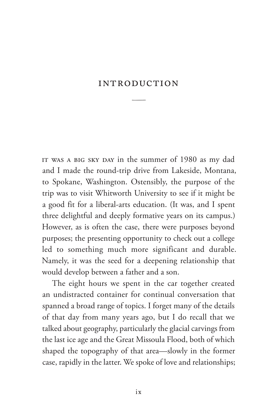### <span id="page-9-0"></span>**INTRODUCTION**

–

IT WAS A BIG SKY DAY in the summer of 1980 as my dad and I made the round-trip drive from Lakeside, Montana, to Spokane, Washington. Ostensibly, the purpose of the trip was to visit Whitworth University to see if it might be a good fit for a liberal-arts education. (It was, and I spent three delightful and deeply formative years on its campus.) However, as is often the case, there were purposes beyond purposes; the presenting opportunity to check out a college led to something much more significant and durable. Namely, it was the seed for a deepening relationship that would develop between a father and a son.

The eight hours we spent in the car together created an undistracted container for continual conversation that spanned a broad range of topics. I forget many of the details of that day from many years ago, but I do recall that we talked about geography, particularly the glacial carvings from the last ice age and the Great Missoula Flood, both of which shaped the topography of that area—slowly in the former case, rapidly in the latter. We spoke of love and relationships;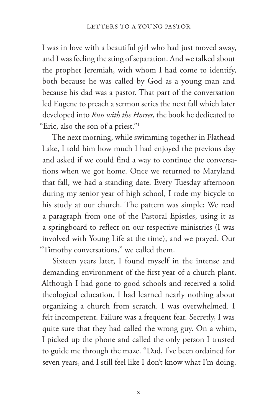I was in love with a beautiful girl who had just moved away, and I was feeling the sting of separation. And we talked about the prophet Jeremiah, with whom I had come to identify, both because he was called by God as a young man and because his dad was a pastor. That part of the conversation led Eugene to preach a sermon series the next fall which later developed into *Run with the Horses*, the book he dedicated to "Eric, also the son of a priest."1

The next morning, while swimming together in Flathead Lake, I told him how much I had enjoyed the previous day and asked if we could find a way to continue the conversations when we got home. Once we returned to Maryland that fall, we had a standing date. Every Tuesday afternoon during my senior year of high school, I rode my bicycle to his study at our church. The pattern was simple: We read a paragraph from one of the Pastoral Epistles, using it as a springboard to reflect on our respective ministries (I was involved with Young Life at the time), and we prayed. Our "Timothy conversations," we called them.

Sixteen years later, I found myself in the intense and demanding environment of the first year of a church plant. Although I had gone to good schools and received a solid theological education, I had learned nearly nothing about organizing a church from scratch. I was overwhelmed. I felt incompetent. Failure was a frequent fear. Secretly, I was quite sure that they had called the wrong guy. On a whim, I picked up the phone and called the only person I trusted to guide me through the maze. "Dad, I've been ordained for seven years, and I still feel like I don't know what I'm doing.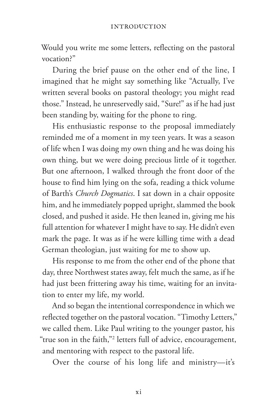#### introduction

Would you write me some letters, reflecting on the pastoral vocation?"

During the brief pause on the other end of the line, I imagined that he might say something like "Actually, I've written several books on pastoral theology; you might read those." Instead, he unreservedly said, "Sure!" as if he had just been standing by, waiting for the phone to ring.

His enthusiastic response to the proposal immediately reminded me of a moment in my teen years. It was a season of life when I was doing my own thing and he was doing his own thing, but we were doing precious little of it together. But one afternoon, I walked through the front door of the house to find him lying on the sofa, reading a thick volume of Barth's *Church Dogmatics*. I sat down in a chair opposite him, and he immediately popped upright, slammed the book closed, and pushed it aside. He then leaned in, giving me his full attention for whatever I might have to say. He didn't even mark the page. It was as if he were killing time with a dead German theologian, just waiting for me to show up.

His response to me from the other end of the phone that day, three Northwest states away, felt much the same, as if he had just been frittering away his time, waiting for an invitation to enter my life, my world.

And so began the intentional correspondence in which we reflected together on the pastoral vocation. "Timothy Letters," we called them. Like Paul writing to the younger pastor, his "true son in the faith,"2 letters full of advice, encouragement, and mentoring with respect to the pastoral life.

Over the course of his long life and ministry—it's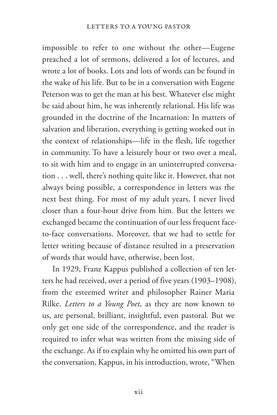impossible to refer to one without the other—Eugene preached a lot of sermons, delivered a lot of lectures, and wrote a lot of books. Lots and lots of words can be found in the wake of his life. But to be in a conversation with Eugene Peterson was to get the man at his best. Whatever else might be said about him, he was inherently relational. His life was grounded in the doctrine of the Incarnation: In matters of salvation and liberation, everything is getting worked out in the context of relationships—life in the flesh, life together in community. To have a leisurely hour or two over a meal, to sit with him and to engage in an uninterrupted conversation . . . well, there's nothing quite like it. However, that not always being possible, a correspondence in letters was the next best thing. For most of my adult years, I never lived closer than a four-hour drive from him. But the letters we exchanged became the continuation of our less frequent faceto-face conversations. Moreover, that we had to settle for letter writing because of distance resulted in a preservation of words that would have, otherwise, been lost.

In 1929, Franz Kappus published a collection of ten letters he had received, over a period of five years (1903–1908), from the esteemed writer and philosopher Rainer Maria Rilke. *Letters to a Young Poet*, as they are now known to us, are personal, brilliant, insightful, even pastoral. But we only get one side of the correspondence, and the reader is required to infer what was written from the missing side of the exchange. As if to explain why he omitted his own part of the conversation, Kappus, in his introduction, wrote, "When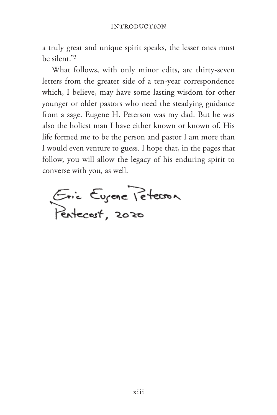#### introduction

a truly great and unique spirit speaks, the lesser ones must be silent."3

What follows, with only minor edits, are thirty-seven letters from the greater side of a ten-year correspondence which, I believe, may have some lasting wisdom for other younger or older pastors who need the steadying guidance from a sage. Eugene H. Peterson was my dad. But he was also the holiest man I have either known or known of. His life formed me to be the person and pastor I am more than I would even venture to guess. I hope that, in the pages that follow, you will allow the legacy of his enduring spirit to converse with you, as well.

Eric Eurene Peterson<br>Pentecost, 2020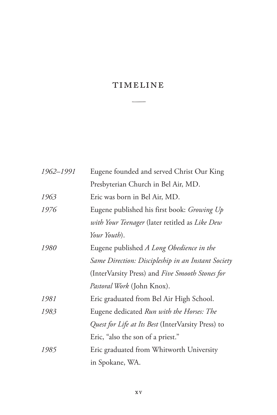## <span id="page-15-0"></span>timeline

–

| 1962-1991 | Eugene founded and served Christ Our King          |
|-----------|----------------------------------------------------|
|           | Presbyterian Church in Bel Air, MD.                |
| 1963      | Eric was born in Bel Air, MD.                      |
| 1976      | Eugene published his first book: Growing Up        |
|           | with Your Teenager (later retitled as Like Dew     |
|           | Your Youth).                                       |
| 1980      | Eugene published A Long Obedience in the           |
|           | Same Direction: Discipleship in an Instant Society |
|           | (InterVarsity Press) and Five Smooth Stones for    |
|           | <i>Pastoral Work</i> (John Knox).                  |
| 1981      | Eric graduated from Bel Air High School.           |
| 1983      | Eugene dedicated Run with the Horses: The          |
|           | Quest for Life at Its Best (InterVarsity Press) to |
|           | Eric, "also the son of a priest."                  |
| 1985      | Eric graduated from Whitworth University           |
|           | in Spokane, WA.                                    |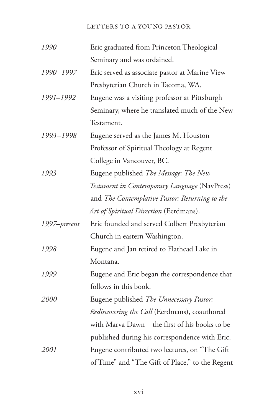### LETTERS TO A YOUNG PASTOR

| 1990         | Eric graduated from Princeton Theological       |
|--------------|-------------------------------------------------|
|              | Seminary and was ordained.                      |
| 1990-1997    | Eric served as associate pastor at Marine View  |
|              | Presbyterian Church in Tacoma, WA.              |
| 1991-1992    | Eugene was a visiting professor at Pittsburgh   |
|              | Seminary, where he translated much of the New   |
|              | Testament.                                      |
| 1993-1998    | Eugene served as the James M. Houston           |
|              | Professor of Spiritual Theology at Regent       |
|              | College in Vancouver, BC.                       |
| 1993         | Eugene published The Message: The New           |
|              | Testament in Contemporary Language (NavPress)   |
|              | and The Contemplative Pastor: Returning to the  |
|              | Art of Spiritual Direction (Eerdmans).          |
| 1997–present | Eric founded and served Colbert Presbyterian    |
|              | Church in eastern Washington.                   |
| 1998         | Eugene and Jan retired to Flathead Lake in      |
|              | Montana.                                        |
| 1999         | Eugene and Eric began the correspondence that   |
|              | follows in this book.                           |
| <i>2000</i>  | Eugene published The Unnecessary Pastor:        |
|              | Rediscovering the Call (Eerdmans), coauthored   |
|              | with Marva Dawn-the first of his books to be    |
|              | published during his correspondence with Eric.  |
| <i>2001</i>  | Eugene contributed two lectures, on "The Gift   |
|              | of Time" and "The Gift of Place," to the Regent |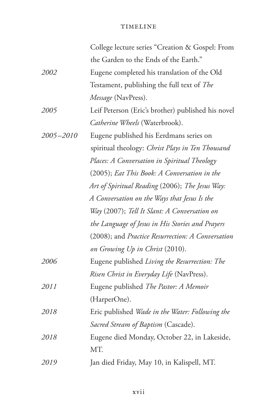### timeline

|           | College lecture series "Creation & Gospel: From    |
|-----------|----------------------------------------------------|
|           | the Garden to the Ends of the Earth."              |
| 2002      | Eugene completed his translation of the Old        |
|           | Testament, publishing the full text of The         |
|           | Message (NavPress).                                |
| 2005      | Leif Peterson (Eric's brother) published his novel |
|           | Catherine Wheels (Waterbrook).                     |
| 2005-2010 | Eugene published his Eerdmans series on            |
|           | spiritual theology: Christ Plays in Ten Thousand   |
|           | Places: A Conversation in Spiritual Theology       |
|           | (2005); Eat This Book: A Conversation in the       |
|           | Art of Spiritual Reading (2006); The Jesus Way:    |
|           | A Conversation on the Ways that Jesus Is the       |
|           | Way (2007); Tell It Slant: A Conversation on       |
|           | the Language of Jesus in His Stories and Prayers   |
|           | (2008); and Practice Resurrection: A Conversation  |
|           | on Growing Up in Christ (2010).                    |
| 2006      | Eugene published Living the Resurrection: The      |
|           | Risen Christ in Everyday Life (NavPress).          |
| 2011      | Eugene published The Pastor: A Memoir              |
|           | (HarperOne).                                       |
| 2018      | Eric published Wade in the Water: Following the    |
|           | Sacred Stream of Baptism (Cascade).                |
| 2018      | Eugene died Monday, October 22, in Lakeside,       |
|           | MT.                                                |
| 2019      | Jan died Friday, May 10, in Kalispell, MT.         |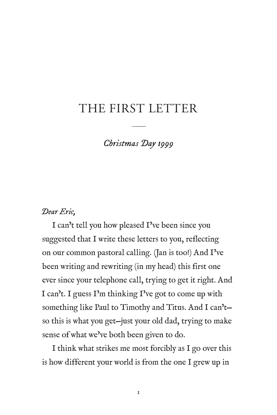## <span id="page-19-0"></span>THE FIRST LETTER

–

### *Christmas Day 1999*

### *Dear Eric,*

I can't tell you how pleased I've been since you suggested that I write these letters to you, reflecting on our common pastoral calling. (Jan is too!) And I've been writing and rewriting (in my head) this first one ever since your telephone call, trying to get it right. And I can't. I guess I'm thinking I've got to come up with something like Paul to Timothy and Titus. And I can't so this is what you get—just your old dad, trying to make sense of what we've both been given to do.

I think what strikes me most forcibly as I go over this is how different your world is from the one I grew up in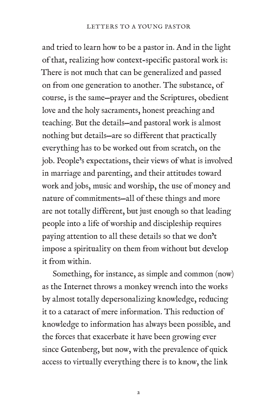and tried to learn how to be a pastor in. And in the light of that, realizing how context-specific pastoral work is: There is not much that can be generalized and passed on from one generation to another. The substance, of course, is the same—prayer and the Scriptures, obedient love and the holy sacraments, honest preaching and teaching. But the details—and pastoral work is almost nothing but details—are so different that practically everything has to be worked out from scratch, on the job. People's expectations, their views of what is involved in marriage and parenting, and their attitudes toward work and jobs, music and worship, the use of money and nature of commitments—all of these things and more are not totally different, but just enough so that leading people into a life of worship and discipleship requires paying attention to all these details so that we don't impose a spirituality on them from without but develop it from within.

Something, for instance, as simple and common (now) as the Internet throws a monkey wrench into the works by almost totally depersonalizing knowledge, reducing it to a cataract of mere information. This reduction of knowledge to information has always been possible, and the forces that exacerbate it have been growing ever since Gutenberg, but now, with the prevalence of quick access to virtually everything there is to know, the link

2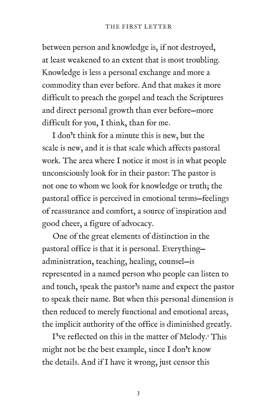between person and knowledge is, if not destroyed, at least weakened to an extent that is most troubling. Knowledge is less a personal exchange and more a commodity than ever before. And that makes it more difficult to preach the gospel and teach the Scriptures and direct personal growth than ever before—more difficult for you, I think, than for me.

I don't think for a minute this is new, but the scale is new, and it is that scale which affects pastoral work. The area where I notice it most is in what people unconsciously look for in their pastor: The pastor is not one to whom we look for knowledge or truth; the pastoral office is perceived in emotional terms—feelings of reassurance and comfort, a source of inspiration and good cheer, a figure of advocacy.

One of the great elements of distinction in the pastoral office is that it is personal. Everything administration, teaching, healing, counsel—is represented in a named person who people can listen to and touch, speak the pastor's name and expect the pastor to speak their name. But when this personal dimension is then reduced to merely functional and emotional areas, the implicit authority of the office is diminished greatly.

I've reflected on this in the matter of Melody.1 This might not be the best example, since I don't know the details. And if I have it wrong, just censor this

3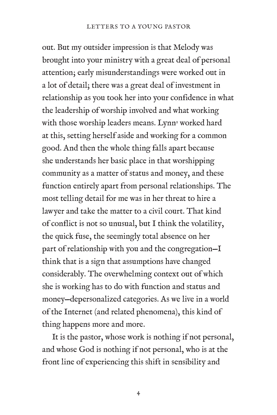#### LETTERS TO A YOUNG PASTOR

out. But my outsider impression is that Melody was brought into your ministry with a great deal of personal attention; early misunderstandings were worked out in a lot of detail; there was a great deal of investment in relationship as you took her into your confidence in what the leadership of worship involved and what working with those worship leaders means. Lynn<sup>2</sup> worked hard at this, setting herself aside and working for a common good. And then the whole thing falls apart because she understands her basic place in that worshipping community as a matter of status and money, and these function entirely apart from personal relationships. The most telling detail for me was in her threat to hire a lawyer and take the matter to a civil court. That kind of conflict is not so unusual, but I think the volatility, the quick fuse, the seemingly total absence on her part of relationship with you and the congregation—I think that is a sign that assumptions have changed considerably. The overwhelming context out of which she is working has to do with function and status and money—depersonalized categories. As we live in a world of the Internet (and related phenomena), this kind of thing happens more and more.

It is the pastor, whose work is nothing if not personal, and whose God is nothing if not personal, who is at the front line of experiencing this shift in sensibility and

4